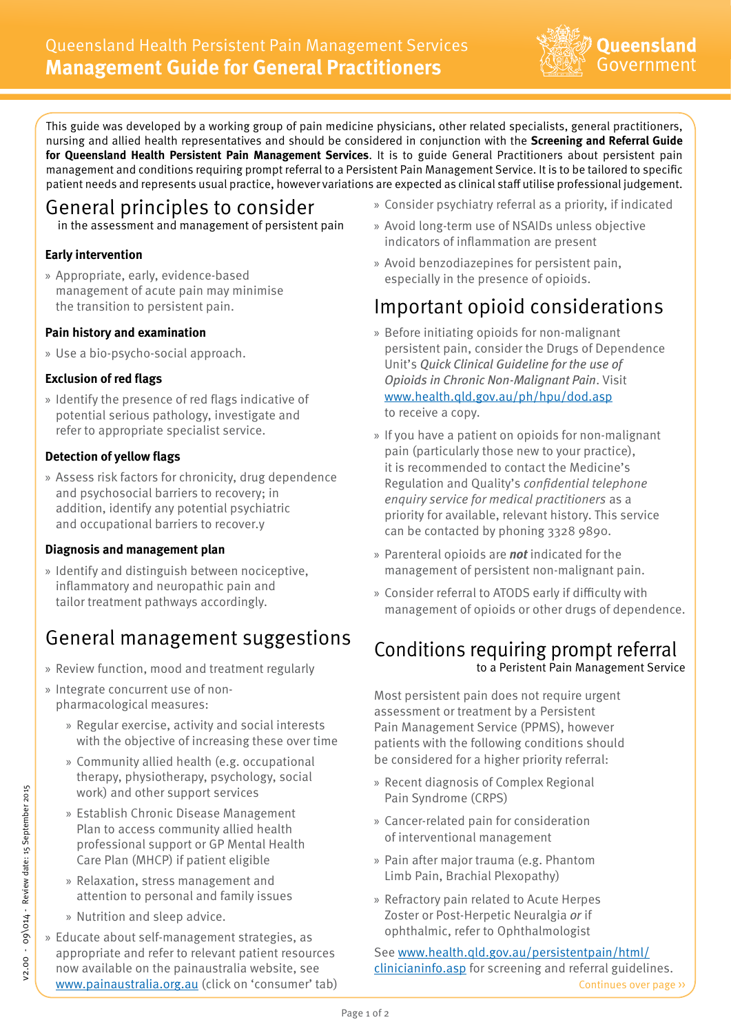

This guide was developed by a working group of pain medicine physicians, other related specialists, general practitioners, nursing and allied health representatives and should be considered in conjunction with the **Screening and Referral Guide for Queensland Health Persistent Pain Management Services**. It is to guide General Practitioners about persistent pain management and conditions requiring prompt referral to a Persistent Pain Management Service. It is to be tailored to specific patient needs and represents usual practice, however variations are expected as clinical staff utilise professional judgement.

## General principles to consider

in the assessment and management of persistent pain

### **Early intervention**

» Appropriate, early, evidence-based management of acute pain may minimise the transition to persistent pain.

#### **Pain history and examination**

» Use a bio-psycho-social approach.

#### **Exclusion of red flags**

» Identify the presence of red flags indicative of potential serious pathology, investigate and refer to appropriate specialist service.

#### **Detection of yellow flags**

» Assess risk factors for chronicity, drug dependence and psychosocial barriers to recovery; in addition, identify any potential psychiatric and occupational barriers to recover.y

### **Diagnosis and management plan**

» Identify and distinguish between nociceptive, inflammatory and neuropathic pain and tailor treatment pathways accordingly.

### General management suggestions

- » Review function, mood and treatment regularly
- » Integrate concurrent use of nonpharmacological measures:
	- » Regular exercise, activity and social interests with the objective of increasing these over time
	- » Community allied health (e.g. occupational therapy, physiotherapy, psychology, social work) and other support services
	- » Establish Chronic Disease Management Plan to access community allied health professional support or GP Mental Health Care Plan (MHCP) if patient eligible
	- » Relaxation, stress management and attention to personal and family issues
	- » Nutrition and sleep advice.
- » Educate about self-management strategies, as appropriate and refer to relevant patient resources now available on the painaustralia website, see <www.painaustralia.org.au>(click on 'consumer' tab)
- » Consider psychiatry referral as a priority, if indicated
- » Avoid long-term use of NSAIDs unless objective indicators of inflammation are present
- » Avoid benzodiazepines for persistent pain, especially in the presence of opioids.

## Important opioid considerations

- » Before initiating opioids for non-malignant persistent pain, consider the Drugs of Dependence Unit's *Quick Clinical Guideline for the use of Opioids in Chronic Non-Malignant Pain*. Visit <www.health.qld.gov.au/ph/hpu/dod.asp> to receive a copy.
- » If you have a patient on opioids for non-malignant pain (particularly those new to your practice), it is recommended to contact the Medicine's Regulation and Quality's *confidential telephone enquiry service for medical practitioners* as a priority for available, relevant history. This service can be contacted by phoning 3328 9890.
- » Parenteral opioids are *not* indicated for the management of persistent non-malignant pain.
- » Consider referral to ATODS early if difficulty with management of opioids or other drugs of dependence.

### Conditions requiring prompt referral to a Peristent Pain Management Service

Most persistent pain does not require urgent assessment or treatment by a Persistent Pain Management Service (PPMS), however patients with the following conditions should be considered for a higher priority referral:

- » Recent diagnosis of Complex Regional Pain Syndrome (CRPS)
- » Cancer-related pain for consideration of interventional management
- » Pain after major trauma (e.g. Phantom Limb Pain, Brachial Plexopathy)
- » Refractory pain related to Acute Herpes Zoster or Post-Herpetic Neuralgia *or* if ophthalmic, refer to Ophthalmologist

See [www.health.qld.gov.au/persistentpain/html/](www.health.qld.gov.au/persistentpain/html/clinicianinfo.asp) [clinicianinfo.asp](www.health.qld.gov.au/persistentpain/html/clinicianinfo.asp) for screening and referral guidelines. Continues over page >>